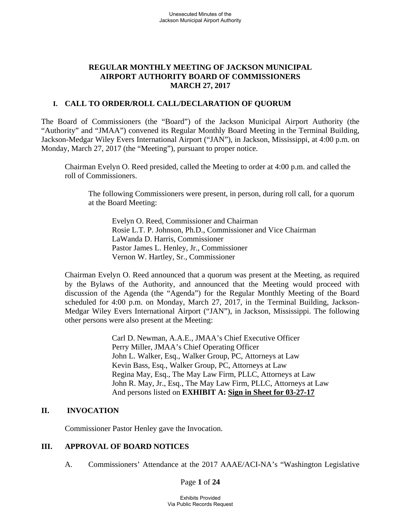## **REGULAR MONTHLY MEETING OF JACKSON MUNICIPAL AIRPORT AUTHORITY BOARD OF COMMISSIONERS MARCH 27, 2017**

### **I. CALL TO ORDER/ROLL CALL/DECLARATION OF QUORUM**

The Board of Commissioners (the "Board") of the Jackson Municipal Airport Authority (the "Authority" and "JMAA") convened its Regular Monthly Board Meeting in the Terminal Building, Jackson-Medgar Wiley Evers International Airport ("JAN"), in Jackson, Mississippi, at 4:00 p.m. on Monday, March 27, 2017 (the "Meeting"), pursuant to proper notice.

Chairman Evelyn O. Reed presided, called the Meeting to order at 4:00 p.m. and called the roll of Commissioners.

The following Commissioners were present, in person, during roll call, for a quorum at the Board Meeting:

Evelyn O. Reed, Commissioner and Chairman Rosie L.T. P. Johnson, Ph.D., Commissioner and Vice Chairman LaWanda D. Harris, Commissioner Pastor James L. Henley, Jr., Commissioner Vernon W. Hartley, Sr., Commissioner

Chairman Evelyn O. Reed announced that a quorum was present at the Meeting, as required by the Bylaws of the Authority, and announced that the Meeting would proceed with discussion of the Agenda (the "Agenda") for the Regular Monthly Meeting of the Board scheduled for 4:00 p.m. on Monday, March 27, 2017, in the Terminal Building, Jackson-Medgar Wiley Evers International Airport ("JAN"), in Jackson, Mississippi. The following other persons were also present at the Meeting:

> Carl D. Newman, A.A.E., JMAA's Chief Executive Officer Perry Miller, JMAA's Chief Operating Officer John L. Walker, Esq., Walker Group, PC, Attorneys at Law Kevin Bass, Esq., Walker Group, PC, Attorneys at Law Regina May, Esq., The May Law Firm, PLLC, Attorneys at Law John R. May, Jr., Esq., The May Law Firm, PLLC, Attorneys at Law And persons listed on **EXHIBIT A: Sign in Sheet for 03-27-17**

## **II. INVOCATION**

Commissioner Pastor Henley gave the Invocation.

### **III. APPROVAL OF BOARD NOTICES**

A. Commissioners' Attendance at the 2017 AAAE/ACI-NA's "Washington Legislative

Page **1** of **24**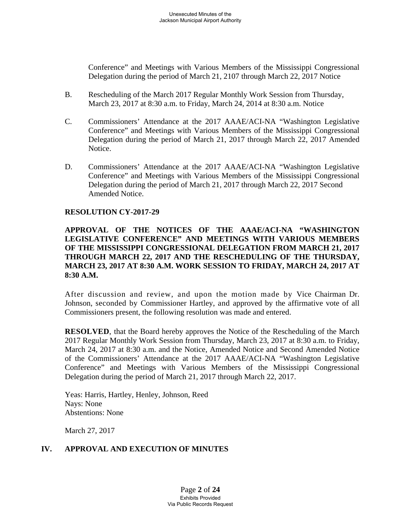Conference" and Meetings with Various Members of the Mississippi Congressional Delegation during the period of March 21, 2107 through March 22, 2017 Notice

- B. Rescheduling of the March 2017 Regular Monthly Work Session from Thursday, March 23, 2017 at 8:30 a.m. to Friday, March 24, 2014 at 8:30 a.m. Notice
- C. Commissioners' Attendance at the 2017 AAAE/ACI-NA "Washington Legislative Conference" and Meetings with Various Members of the Mississippi Congressional Delegation during the period of March 21, 2017 through March 22, 2017 Amended Notice.
- D. Commissioners' Attendance at the 2017 AAAE/ACI-NA "Washington Legislative Conference" and Meetings with Various Members of the Mississippi Congressional Delegation during the period of March 21, 2017 through March 22, 2017 Second Amended Notice.

#### **RESOLUTION CY-2017-29**

## **APPROVAL OF THE NOTICES OF THE AAAE/ACI-NA "WASHINGTON LEGISLATIVE CONFERENCE" AND MEETINGS WITH VARIOUS MEMBERS OF THE MISSISSIPPI CONGRESSIONAL DELEGATION FROM MARCH 21, 2017 THROUGH MARCH 22, 2017 AND THE RESCHEDULING OF THE THURSDAY, MARCH 23, 2017 AT 8:30 A.M. WORK SESSION TO FRIDAY, MARCH 24, 2017 AT 8:30 A.M.**

After discussion and review, and upon the motion made by Vice Chairman Dr. Johnson, seconded by Commissioner Hartley, and approved by the affirmative vote of all Commissioners present, the following resolution was made and entered.

**RESOLVED**, that the Board hereby approves the Notice of the Rescheduling of the March 2017 Regular Monthly Work Session from Thursday, March 23, 2017 at 8:30 a.m. to Friday, March 24, 2017 at 8:30 a.m. and the Notice, Amended Notice and Second Amended Notice of the Commissioners' Attendance at the 2017 AAAE/ACI-NA "Washington Legislative Conference" and Meetings with Various Members of the Mississippi Congressional Delegation during the period of March 21, 2017 through March 22, 2017.

Yeas: Harris, Hartley, Henley, Johnson, Reed Nays: None Abstentions: None

March 27, 2017

# **IV. APPROVAL AND EXECUTION OF MINUTES**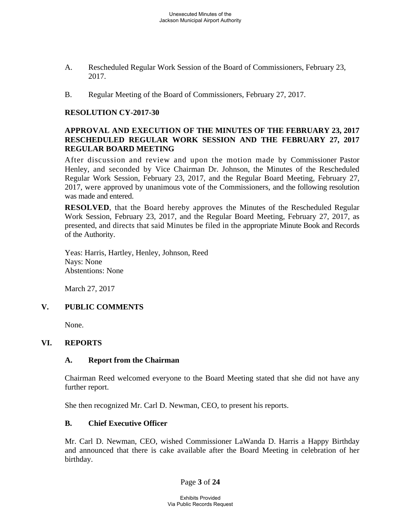- A. Rescheduled Regular Work Session of the Board of Commissioners, February 23, 2017.
- B. Regular Meeting of the Board of Commissioners, February 27, 2017.

### **RESOLUTION CY-2017-30**

### **APPROVAL AND EXECUTION OF THE MINUTES OF THE FEBRUARY 23, 2017 RESCHEDULED REGULAR WORK SESSION AND THE FEBRUARY 27, 2017 REGULAR BOARD MEETING**

After discussion and review and upon the motion made by Commissioner Pastor Henley, and seconded by Vice Chairman Dr. Johnson, the Minutes of the Rescheduled Regular Work Session, February 23, 2017, and the Regular Board Meeting, February 27, 2017, were approved by unanimous vote of the Commissioners, and the following resolution was made and entered.

**RESOLVED**, that the Board hereby approves the Minutes of the Rescheduled Regular Work Session, February 23, 2017, and the Regular Board Meeting, February 27, 2017, as presented, and directs that said Minutes be filed in the appropriate Minute Book and Records of the Authority.

Yeas: Harris, Hartley, Henley, Johnson, Reed Nays: None Abstentions: None

March 27, 2017

## **V. PUBLIC COMMENTS**

None.

## **VI. REPORTS**

#### **A. Report from the Chairman**

Chairman Reed welcomed everyone to the Board Meeting stated that she did not have any further report.

She then recognized Mr. Carl D. Newman, CEO, to present his reports.

#### **B. Chief Executive Officer**

Mr. Carl D. Newman, CEO, wished Commissioner LaWanda D. Harris a Happy Birthday and announced that there is cake available after the Board Meeting in celebration of her birthday.

Page **3** of **24**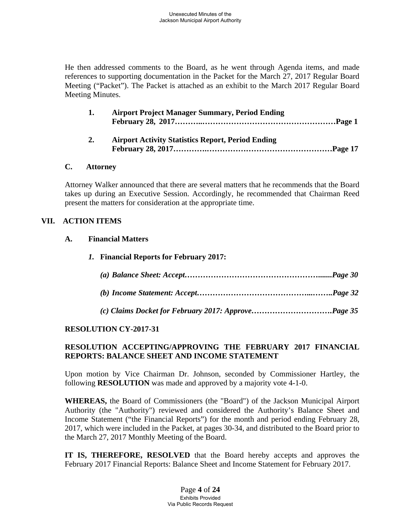He then addressed comments to the Board, as he went through Agenda items, and made references to supporting documentation in the Packet for the March 27, 2017 Regular Board Meeting ("Packet"). The Packet is attached as an exhibit to the March 2017 Regular Board Meeting Minutes.

| 1. | <b>Airport Project Manager Summary, Period Ending</b>    |
|----|----------------------------------------------------------|
| 2. | <b>Airport Activity Statistics Report, Period Ending</b> |

#### **C. Attorney**

Attorney Walker announced that there are several matters that he recommends that the Board takes up during an Executive Session. Accordingly, he recommended that Chairman Reed present the matters for consideration at the appropriate time.

### **VII. ACTION ITEMS**

#### **A. Financial Matters**

*1.* **Financial Reports for February 2017:**

## **RESOLUTION CY-2017-31**

## **RESOLUTION ACCEPTING/APPROVING THE FEBRUARY 2017 FINANCIAL REPORTS: BALANCE SHEET AND INCOME STATEMENT**

Upon motion by Vice Chairman Dr. Johnson, seconded by Commissioner Hartley, the following **RESOLUTION** was made and approved by a majority vote 4-1-0.

**WHEREAS,** the Board of Commissioners (the "Board") of the Jackson Municipal Airport Authority (the "Authority") reviewed and considered the Authority's Balance Sheet and Income Statement ("the Financial Reports") for the month and period ending February 28, 2017, which were included in the Packet, at pages 30-34, and distributed to the Board prior to the March 27, 2017 Monthly Meeting of the Board.

**IT IS, THEREFORE, RESOLVED** that the Board hereby accepts and approves the February 2017 Financial Reports: Balance Sheet and Income Statement for February 2017.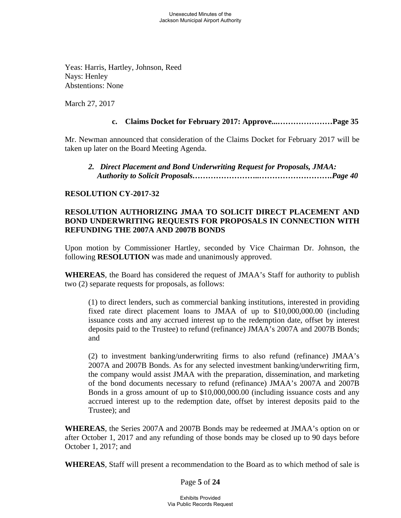Yeas: Harris, Hartley, Johnson, Reed Nays: Henley Abstentions: None

March 27, 2017

### **c. Claims Docket for February 2017: Approve...…………………Page 35**

Mr. Newman announced that consideration of the Claims Docket for February 2017 will be taken up later on the Board Meeting Agenda.

 *2.**Direct Placement and Bond Underwriting Request for Proposals, JMAA: Authority to Solicit Proposals……………………..……………………….Page 40*

### **RESOLUTION CY-2017-32**

## **RESOLUTION AUTHORIZING JMAA TO SOLICIT DIRECT PLACEMENT AND BOND UNDERWRITING REQUESTS FOR PROPOSALS IN CONNECTION WITH REFUNDING THE 2007A AND 2007B BONDS**

Upon motion by Commissioner Hartley, seconded by Vice Chairman Dr. Johnson, the following **RESOLUTION** was made and unanimously approved.

**WHEREAS**, the Board has considered the request of JMAA's Staff for authority to publish two (2) separate requests for proposals, as follows:

(1) to direct lenders, such as commercial banking institutions, interested in providing fixed rate direct placement loans to JMAA of up to \$10,000,000.00 (including issuance costs and any accrued interest up to the redemption date, offset by interest deposits paid to the Trustee) to refund (refinance) JMAA's 2007A and 2007B Bonds; and

(2) to investment banking/underwriting firms to also refund (refinance) JMAA's 2007A and 2007B Bonds. As for any selected investment banking/underwriting firm, the company would assist JMAA with the preparation, dissemination, and marketing of the bond documents necessary to refund (refinance) JMAA's 2007A and 2007B Bonds in a gross amount of up to \$10,000,000.00 (including issuance costs and any accrued interest up to the redemption date, offset by interest deposits paid to the Trustee); and

**WHEREAS**, the Series 2007A and 2007B Bonds may be redeemed at JMAA's option on or after October 1, 2017 and any refunding of those bonds may be closed up to 90 days before October 1, 2017; and

**WHEREAS**, Staff will present a recommendation to the Board as to which method of sale is

Page **5** of **24**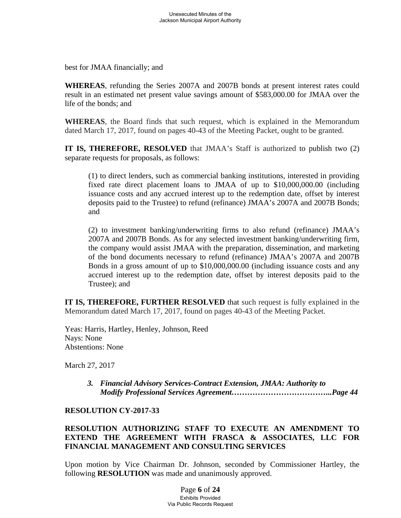best for JMAA financially; and

**WHEREAS**, refunding the Series 2007A and 2007B bonds at present interest rates could result in an estimated net present value savings amount of \$583,000.00 for JMAA over the life of the bonds; and

**WHEREAS**, the Board finds that such request, which is explained in the Memorandum dated March 17, 2017, found on pages 40-43 of the Meeting Packet, ought to be granted.

**IT IS, THEREFORE, RESOLVED** that JMAA's Staff is authorized to publish two (2) separate requests for proposals, as follows:

(1) to direct lenders, such as commercial banking institutions, interested in providing fixed rate direct placement loans to JMAA of up to \$10,000,000.00 (including issuance costs and any accrued interest up to the redemption date, offset by interest deposits paid to the Trustee) to refund (refinance) JMAA's 2007A and 2007B Bonds; and

(2) to investment banking/underwriting firms to also refund (refinance) JMAA's 2007A and 2007B Bonds. As for any selected investment banking/underwriting firm, the company would assist JMAA with the preparation, dissemination, and marketing of the bond documents necessary to refund (refinance) JMAA's 2007A and 2007B Bonds in a gross amount of up to \$10,000,000.00 (including issuance costs and any accrued interest up to the redemption date, offset by interest deposits paid to the Trustee); and

**IT IS, THEREFORE, FURTHER RESOLVED** that such request is fully explained in the Memorandum dated March 17, 2017, found on pages 40-43 of the Meeting Packet.

Yeas: Harris, Hartley, Henley, Johnson, Reed Nays: None Abstentions: None

March 27, 2017

*3. Financial Advisory Services-Contract Extension, JMAA: Authority to Modify Professional Services Agreement………………………………...Page 44*

## **RESOLUTION CY-2017-33**

# **RESOLUTION AUTHORIZING STAFF TO EXECUTE AN AMENDMENT TO EXTEND THE AGREEMENT WITH FRASCA & ASSOCIATES, LLC FOR FINANCIAL MANAGEMENT AND CONSULTING SERVICES**

Upon motion by Vice Chairman Dr. Johnson, seconded by Commissioner Hartley, the following **RESOLUTION** was made and unanimously approved.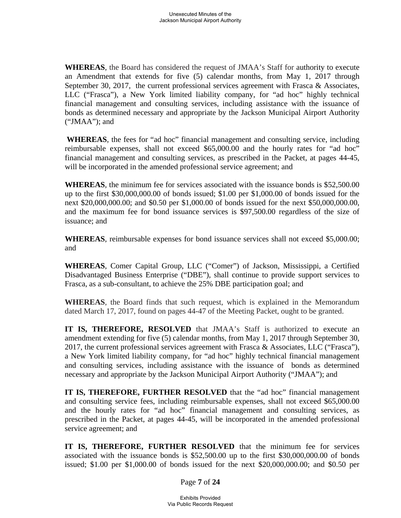**WHEREAS**, the Board has considered the request of JMAA's Staff for authority to execute an Amendment that extends for five (5) calendar months, from May 1, 2017 through September 30, 2017, the current professional services agreement with Frasca & Associates, LLC ("Frasca"), a New York limited liability company, for "ad hoc" highly technical financial management and consulting services, including assistance with the issuance of bonds as determined necessary and appropriate by the Jackson Municipal Airport Authority ("JMAA"); and

**WHEREAS**, the fees for "ad hoc" financial management and consulting service, including reimbursable expenses, shall not exceed \$65,000.00 and the hourly rates for "ad hoc" financial management and consulting services, as prescribed in the Packet, at pages 44-45, will be incorporated in the amended professional service agreement; and

**WHEREAS**, the minimum fee for services associated with the issuance bonds is \$52,500.00 up to the first \$30,000,000.00 of bonds issued; \$1.00 per \$1,000.00 of bonds issued for the next \$20,000,000.00; and \$0.50 per \$1,000.00 of bonds issued for the next \$50,000,000.00, and the maximum fee for bond issuance services is \$97,500.00 regardless of the size of issuance; and

**WHEREAS**, reimbursable expenses for bond issuance services shall not exceed \$5,000.00; and

**WHEREAS**, Comer Capital Group, LLC ("Comer") of Jackson, Mississippi, a Certified Disadvantaged Business Enterprise ("DBE"), shall continue to provide support services to Frasca, as a sub-consultant, to achieve the 25% DBE participation goal; and

**WHEREAS**, the Board finds that such request, which is explained in the Memorandum dated March 17, 2017, found on pages 44-47 of the Meeting Packet, ought to be granted.

**IT IS, THEREFORE, RESOLVED** that JMAA's Staff is authorized to execute an amendment extending for five (5) calendar months, from May 1, 2017 through September 30, 2017, the current professional services agreement with Frasca & Associates, LLC ("Frasca"), a New York limited liability company, for "ad hoc" highly technical financial management and consulting services, including assistance with the issuance of bonds as determined necessary and appropriate by the Jackson Municipal Airport Authority ("JMAA"); and

**IT IS, THEREFORE, FURTHER RESOLVED** that the "ad hoc" financial management and consulting service fees, including reimbursable expenses, shall not exceed \$65,000.00 and the hourly rates for "ad hoc" financial management and consulting services, as prescribed in the Packet, at pages 44-45, will be incorporated in the amended professional service agreement; and

IT IS, THEREFORE, FURTHER RESOLVED that the minimum fee for services associated with the issuance bonds is \$52,500.00 up to the first \$30,000,000.00 of bonds issued; \$1.00 per \$1,000.00 of bonds issued for the next \$20,000,000.00; and \$0.50 per

Page **7** of **24**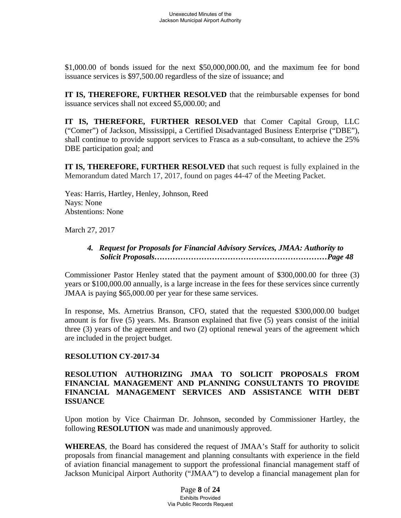\$1,000.00 of bonds issued for the next \$50,000,000.00, and the maximum fee for bond issuance services is \$97,500.00 regardless of the size of issuance; and

**IT IS, THEREFORE, FURTHER RESOLVED** that the reimbursable expenses for bond issuance services shall not exceed \$5,000.00; and

**IT IS, THEREFORE, FURTHER RESOLVED** that Comer Capital Group, LLC ("Comer") of Jackson, Mississippi, a Certified Disadvantaged Business Enterprise ("DBE"), shall continue to provide support services to Frasca as a sub-consultant, to achieve the 25% DBE participation goal; and

**IT IS, THEREFORE, FURTHER RESOLVED** that such request is fully explained in the Memorandum dated March 17, 2017, found on pages 44-47 of the Meeting Packet.

Yeas: Harris, Hartley, Henley, Johnson, Reed Nays: None Abstentions: None

March 27, 2017

# *4. Request for Proposals for Financial Advisory Services, JMAA: Authority to Solicit Proposals…………………………………………………………Page 48*

Commissioner Pastor Henley stated that the payment amount of \$300,000.00 for three (3) years or \$100,000.00 annually, is a large increase in the fees for these services since currently JMAA is paying \$65,000.00 per year for these same services.

In response, Ms. Arnetrius Branson, CFO, stated that the requested \$300,000.00 budget amount is for five (5) years. Ms. Branson explained that five (5) years consist of the initial three (3) years of the agreement and two (2) optional renewal years of the agreement which are included in the project budget.

## **RESOLUTION CY-2017-34**

## **RESOLUTION AUTHORIZING JMAA TO SOLICIT PROPOSALS FROM FINANCIAL MANAGEMENT AND PLANNING CONSULTANTS TO PROVIDE FINANCIAL MANAGEMENT SERVICES AND ASSISTANCE WITH DEBT ISSUANCE**

Upon motion by Vice Chairman Dr. Johnson, seconded by Commissioner Hartley, the following **RESOLUTION** was made and unanimously approved.

**WHEREAS**, the Board has considered the request of JMAA's Staff for authority to solicit proposals from financial management and planning consultants with experience in the field of aviation financial management to support the professional financial management staff of Jackson Municipal Airport Authority ("JMAA") to develop a financial management plan for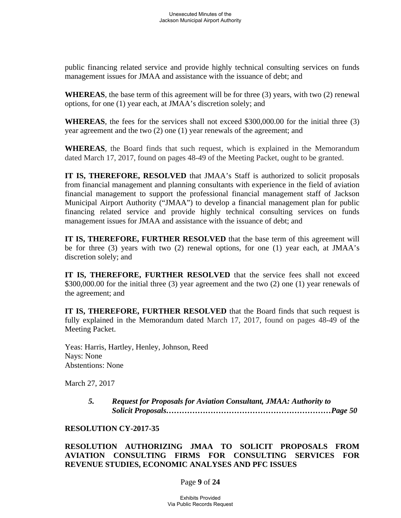public financing related service and provide highly technical consulting services on funds management issues for JMAA and assistance with the issuance of debt; and

**WHEREAS**, the base term of this agreement will be for three (3) years, with two (2) renewal options, for one (1) year each, at JMAA's discretion solely; and

**WHEREAS**, the fees for the services shall not exceed \$300,000.00 for the initial three (3) year agreement and the two (2) one (1) year renewals of the agreement; and

**WHEREAS**, the Board finds that such request, which is explained in the Memorandum dated March 17, 2017, found on pages 48-49 of the Meeting Packet, ought to be granted.

**IT IS, THEREFORE, RESOLVED** that JMAA's Staff is authorized to solicit proposals from financial management and planning consultants with experience in the field of aviation financial management to support the professional financial management staff of Jackson Municipal Airport Authority ("JMAA") to develop a financial management plan for public financing related service and provide highly technical consulting services on funds management issues for JMAA and assistance with the issuance of debt; and

**IT IS, THEREFORE, FURTHER RESOLVED** that the base term of this agreement will be for three (3) years with two (2) renewal options, for one (1) year each, at JMAA's discretion solely; and

**IT IS, THEREFORE, FURTHER RESOLVED** that the service fees shall not exceed \$300,000.00 for the initial three (3) year agreement and the two (2) one (1) year renewals of the agreement; and

**IT IS, THEREFORE, FURTHER RESOLVED** that the Board finds that such request is fully explained in the Memorandum dated March 17, 2017, found on pages 48-49 of the Meeting Packet.

Yeas: Harris, Hartley, Henley, Johnson, Reed Nays: None Abstentions: None

March 27, 2017

*5. Request for Proposals for Aviation Consultant, JMAA: Authority to Solicit Proposals………………………………………………………Page 50* 

#### **RESOLUTION CY-2017-35**

**RESOLUTION AUTHORIZING JMAA TO SOLICIT PROPOSALS FROM AVIATION CONSULTING FIRMS FOR CONSULTING SERVICES FOR REVENUE STUDIES, ECONOMIC ANALYSES AND PFC ISSUES** 

Page **9** of **24**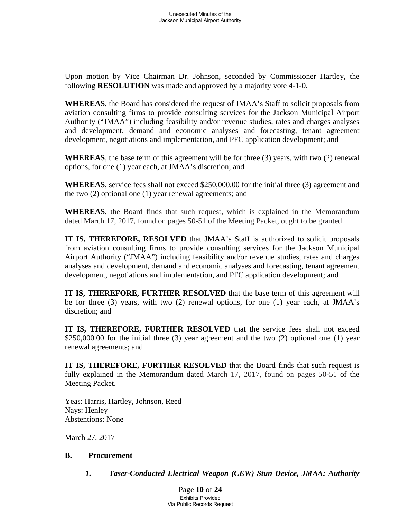Upon motion by Vice Chairman Dr. Johnson, seconded by Commissioner Hartley, the following **RESOLUTION** was made and approved by a majority vote 4-1-0.

**WHEREAS**, the Board has considered the request of JMAA's Staff to solicit proposals from aviation consulting firms to provide consulting services for the Jackson Municipal Airport Authority ("JMAA") including feasibility and/or revenue studies, rates and charges analyses and development, demand and economic analyses and forecasting, tenant agreement development, negotiations and implementation, and PFC application development; and

**WHEREAS**, the base term of this agreement will be for three (3) years, with two (2) renewal options, for one (1) year each, at JMAA's discretion; and

**WHEREAS**, service fees shall not exceed \$250,000.00 for the initial three (3) agreement and the two (2) optional one (1) year renewal agreements; and

**WHEREAS**, the Board finds that such request, which is explained in the Memorandum dated March 17, 2017, found on pages 50-51 of the Meeting Packet, ought to be granted.

**IT IS, THEREFORE, RESOLVED** that JMAA's Staff is authorized to solicit proposals from aviation consulting firms to provide consulting services for the Jackson Municipal Airport Authority ("JMAA") including feasibility and/or revenue studies, rates and charges analyses and development, demand and economic analyses and forecasting, tenant agreement development, negotiations and implementation, and PFC application development; and

**IT IS, THEREFORE, FURTHER RESOLVED** that the base term of this agreement will be for three (3) years, with two (2) renewal options, for one (1) year each, at JMAA's discretion; and

**IT IS, THEREFORE, FURTHER RESOLVED** that the service fees shall not exceed \$250,000.00 for the initial three (3) year agreement and the two (2) optional one (1) year renewal agreements; and

**IT IS, THEREFORE, FURTHER RESOLVED** that the Board finds that such request is fully explained in the Memorandum dated March 17, 2017, found on pages 50-51 of the Meeting Packet.

Yeas: Harris, Hartley, Johnson, Reed Nays: Henley Abstentions: None

March 27, 2017

## **B. Procurement**

*1. Taser-Conducted Electrical Weapon (CEW) Stun Device, JMAA: Authority* 

Page **10** of **24** Exhibits Provided Via Public Records Request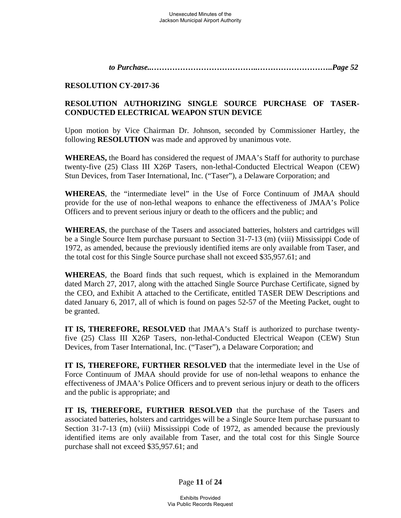*to Purchase..…………………………………..………………………..Page 52* 

### **RESOLUTION CY-2017-36**

# **RESOLUTION AUTHORIZING SINGLE SOURCE PURCHASE OF TASER-CONDUCTED ELECTRICAL WEAPON STUN DEVICE**

Upon motion by Vice Chairman Dr. Johnson, seconded by Commissioner Hartley, the following **RESOLUTION** was made and approved by unanimous vote.

**WHEREAS,** the Board has considered the request of JMAA's Staff for authority to purchase twenty-five (25) Class III X26P Tasers, non-lethal-Conducted Electrical Weapon (CEW) Stun Devices, from Taser International, Inc. ("Taser"), a Delaware Corporation; and

**WHEREAS**, the "intermediate level" in the Use of Force Continuum of JMAA should provide for the use of non-lethal weapons to enhance the effectiveness of JMAA's Police Officers and to prevent serious injury or death to the officers and the public; and

**WHEREAS**, the purchase of the Tasers and associated batteries, holsters and cartridges will be a Single Source Item purchase pursuant to Section 31-7-13 (m) (viii) Mississippi Code of 1972, as amended, because the previously identified items are only available from Taser, and the total cost for this Single Source purchase shall not exceed \$35,957.61; and

**WHEREAS**, the Board finds that such request, which is explained in the Memorandum dated March 27, 2017, along with the attached Single Source Purchase Certificate, signed by the CEO, and Exhibit A attached to the Certificate, entitled TASER DEW Descriptions and dated January 6, 2017, all of which is found on pages 52-57 of the Meeting Packet, ought to be granted.

**IT IS, THEREFORE, RESOLVED** that JMAA's Staff is authorized to purchase twentyfive (25) Class III X26P Tasers, non-lethal-Conducted Electrical Weapon (CEW) Stun Devices, from Taser International, Inc. ("Taser"), a Delaware Corporation; and

**IT IS, THEREFORE, FURTHER RESOLVED** that the intermediate level in the Use of Force Continuum of JMAA should provide for use of non-lethal weapons to enhance the effectiveness of JMAA's Police Officers and to prevent serious injury or death to the officers and the public is appropriate; and

**IT IS, THEREFORE, FURTHER RESOLVED** that the purchase of the Tasers and associated batteries, holsters and cartridges will be a Single Source Item purchase pursuant to Section 31-7-13 (m) (viii) Mississippi Code of 1972, as amended because the previously identified items are only available from Taser, and the total cost for this Single Source purchase shall not exceed \$35,957.61; and

Page **11** of **24**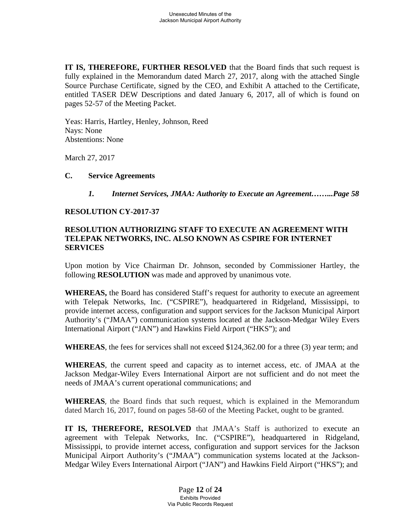**IT IS, THEREFORE, FURTHER RESOLVED** that the Board finds that such request is fully explained in the Memorandum dated March 27, 2017, along with the attached Single Source Purchase Certificate, signed by the CEO, and Exhibit A attached to the Certificate, entitled TASER DEW Descriptions and dated January 6, 2017, all of which is found on pages 52-57 of the Meeting Packet.

Yeas: Harris, Hartley, Henley, Johnson, Reed Nays: None Abstentions: None

March 27, 2017

### **C. Service Agreements**

*1. Internet Services, JMAA: Authority to Execute an Agreement……...Page 58* 

### **RESOLUTION CY-2017-37**

### **RESOLUTION AUTHORIZING STAFF TO EXECUTE AN AGREEMENT WITH TELEPAK NETWORKS, INC. ALSO KNOWN AS CSPIRE FOR INTERNET SERVICES**

Upon motion by Vice Chairman Dr. Johnson, seconded by Commissioner Hartley, the following **RESOLUTION** was made and approved by unanimous vote.

**WHEREAS,** the Board has considered Staff's request for authority to execute an agreement with Telepak Networks, Inc. ("CSPIRE"), headquartered in Ridgeland, Mississippi, to provide internet access, configuration and support services for the Jackson Municipal Airport Authority's ("JMAA") communication systems located at the Jackson-Medgar Wiley Evers International Airport ("JAN") and Hawkins Field Airport ("HKS"); and

**WHEREAS**, the fees for services shall not exceed \$124,362.00 for a three (3) year term; and

**WHEREAS**, the current speed and capacity as to internet access, etc. of JMAA at the Jackson Medgar-Wiley Evers International Airport are not sufficient and do not meet the needs of JMAA's current operational communications; and

**WHEREAS**, the Board finds that such request, which is explained in the Memorandum dated March 16, 2017, found on pages 58-60 of the Meeting Packet, ought to be granted.

**IT IS, THEREFORE, RESOLVED** that JMAA's Staff is authorized to execute an agreement with Telepak Networks, Inc. ("CSPIRE"), headquartered in Ridgeland, Mississippi, to provide internet access, configuration and support services for the Jackson Municipal Airport Authority's ("JMAA") communication systems located at the Jackson-Medgar Wiley Evers International Airport ("JAN") and Hawkins Field Airport ("HKS"); and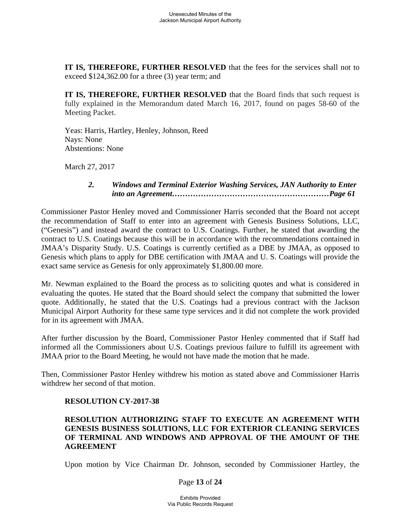**IT IS, THEREFORE, FURTHER RESOLVED** that the fees for the services shall not to exceed \$124,362.00 for a three (3) year term; and

**IT IS, THEREFORE, FURTHER RESOLVED** that the Board finds that such request is fully explained in the Memorandum dated March 16, 2017, found on pages 58-60 of the Meeting Packet.

Yeas: Harris, Hartley, Henley, Johnson, Reed Nays: None Abstentions: None

March 27, 2017

## *2. Windows and Terminal Exterior Washing Services, JAN Authority to Enter into an Agreement……………………………………………………Page 61*

Commissioner Pastor Henley moved and Commissioner Harris seconded that the Board not accept the recommendation of Staff to enter into an agreement with Genesis Business Solutions, LLC, ("Genesis") and instead award the contract to U.S. Coatings. Further, he stated that awarding the contract to U.S. Coatings because this will be in accordance with the recommendations contained in JMAA's Disparity Study. U.S. Coatings is currently certified as a DBE by JMAA, as opposed to Genesis which plans to apply for DBE certification with JMAA and U. S. Coatings will provide the exact same service as Genesis for only approximately \$1,800.00 more.

Mr. Newman explained to the Board the process as to soliciting quotes and what is considered in evaluating the quotes. He stated that the Board should select the company that submitted the lower quote. Additionally, he stated that the U.S. Coatings had a previous contract with the Jackson Municipal Airport Authority for these same type services and it did not complete the work provided for in its agreement with JMAA.

After further discussion by the Board, Commissioner Pastor Henley commented that if Staff had informed all the Commissioners about U.S. Coatings previous failure to fulfill its agreement with JMAA prior to the Board Meeting, he would not have made the motion that he made.

Then, Commissioner Pastor Henley withdrew his motion as stated above and Commissioner Harris withdrew her second of that motion.

## **RESOLUTION CY-2017-38**

## **RESOLUTION AUTHORIZING STAFF TO EXECUTE AN AGREEMENT WITH GENESIS BUSINESS SOLUTIONS, LLC FOR EXTERIOR CLEANING SERVICES OF TERMINAL AND WINDOWS AND APPROVAL OF THE AMOUNT OF THE AGREEMENT**

Upon motion by Vice Chairman Dr. Johnson, seconded by Commissioner Hartley, the

#### Page **13** of **24**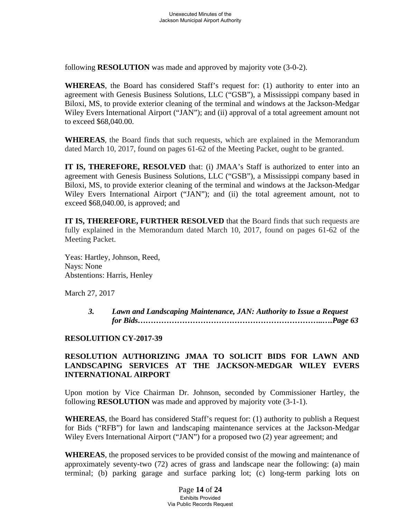following **RESOLUTION** was made and approved by majority vote (3-0-2).

**WHEREAS**, the Board has considered Staff's request for: (1) authority to enter into an agreement with Genesis Business Solutions, LLC ("GSB"), a Mississippi company based in Biloxi, MS, to provide exterior cleaning of the terminal and windows at the Jackson-Medgar Wiley Evers International Airport ("JAN"); and (ii) approval of a total agreement amount not to exceed \$68,040.00.

**WHEREAS**, the Board finds that such requests, which are explained in the Memorandum dated March 10, 2017, found on pages 61-62 of the Meeting Packet, ought to be granted.

**IT IS, THEREFORE, RESOLVED** that: (i) JMAA's Staff is authorized to enter into an agreement with Genesis Business Solutions, LLC ("GSB"), a Mississippi company based in Biloxi, MS, to provide exterior cleaning of the terminal and windows at the Jackson-Medgar Wiley Evers International Airport ("JAN"); and (ii) the total agreement amount, not to exceed \$68,040.00, is approved; and

**IT IS, THEREFORE, FURTHER RESOLVED** that the Board finds that such requests are fully explained in the Memorandum dated March 10, 2017, found on pages 61-62 of the Meeting Packet.

Yeas: Hartley, Johnson, Reed, Nays: None Abstentions: Harris, Henley

March 27, 2017

*3. Lawn and Landscaping Maintenance, JAN: Authority to Issue a Request for Bids……………………………………………………………..….Page 63* 

## **RESOLUITION CY-2017-39**

# **RESOLUTION AUTHORIZING JMAA TO SOLICIT BIDS FOR LAWN AND LANDSCAPING SERVICES AT THE JACKSON-MEDGAR WILEY EVERS INTERNATIONAL AIRPORT**

Upon motion by Vice Chairman Dr. Johnson, seconded by Commissioner Hartley, the following **RESOLUTION** was made and approved by majority vote (3-1-1).

**WHEREAS**, the Board has considered Staff's request for: (1) authority to publish a Request for Bids ("RFB") for lawn and landscaping maintenance services at the Jackson-Medgar Wiley Evers International Airport ("JAN") for a proposed two (2) year agreement; and

**WHEREAS**, the proposed services to be provided consist of the mowing and maintenance of approximately seventy-two (72) acres of grass and landscape near the following: (a) main terminal; (b) parking garage and surface parking lot; (c) long-term parking lots on

> Page **14** of **24** Exhibits Provided Via Public Records Request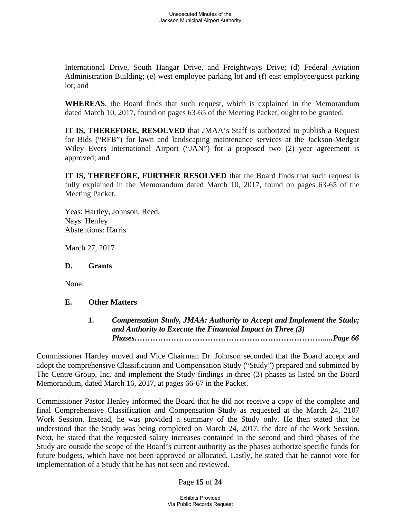International Drive, South Hangar Drive, and Freightways Drive; (d) Federal Aviation Administration Building; (e) west employee parking lot and (f) east employee/guest parking lot; and

**WHEREAS**, the Board finds that such request, which is explained in the Memorandum dated March 10, 2017, found on pages 63-65 of the Meeting Packet, ought to be granted.

**IT IS, THEREFORE, RESOLVED** that JMAA's Staff is authorized to publish a Request for Bids ("RFB") for lawn and landscaping maintenance services at the Jackson-Medgar Wiley Evers International Airport ("JAN") for a proposed two (2) year agreement is approved; and

**IT IS, THEREFORE, FURTHER RESOLVED** that the Board finds that such request is fully explained in the Memorandum dated March 10, 2017, found on pages 63-65 of the Meeting Packet.

Yeas: Hartley, Johnson, Reed, Nays: Henley Abstentions: Harris

March 27, 2017

**D. Grants** 

None.

## **E. Other Matters**

*1. Compensation Study, JMAA: Authority to Accept and Implement the Study; and Authority to Execute the Financial Impact in Three (3) Phases……………………………………………………………….....Page 66* 

Commissioner Hartley moved and Vice Chairman Dr. Johnson seconded that the Board accept and adopt the comprehensive Classification and Compensation Study ("Study") prepared and submitted by The Centre Group, Inc. and implement the Study findings in three (3) phases as listed on the Board Memorandum, dated March 16, 2017, at pages 66-67 in the Packet.

Commissioner Pastor Henley informed the Board that he did not receive a copy of the complete and final Comprehensive Classification and Compensation Study as requested at the March 24, 2107 Work Session. Instead, he was provided a summary of the Study only. He then stated that he understood that the Study was being completed on March 24, 2017, the date of the Work Session. Next, he stated that the requested salary increases contained in the second and third phases of the Study are outside the scope of the Board's current authority as the phases authorize specific funds for future budgets, which have not been approved or allocated. Lastly, he stated that he cannot vote for implementation of a Study that he has not seen and reviewed.

## Page **15** of **24**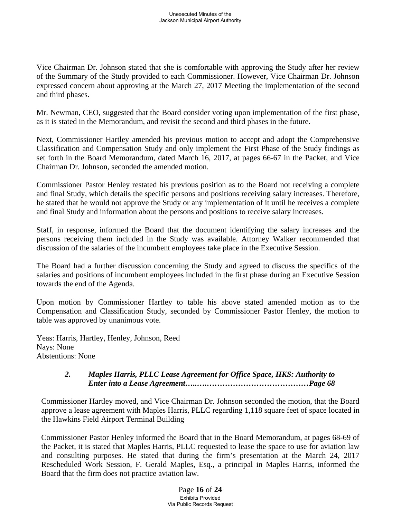Vice Chairman Dr. Johnson stated that she is comfortable with approving the Study after her review of the Summary of the Study provided to each Commissioner. However, Vice Chairman Dr. Johnson expressed concern about approving at the March 27, 2017 Meeting the implementation of the second and third phases.

Mr. Newman, CEO, suggested that the Board consider voting upon implementation of the first phase, as it is stated in the Memorandum, and revisit the second and third phases in the future.

Next, Commissioner Hartley amended his previous motion to accept and adopt the Comprehensive Classification and Compensation Study and only implement the First Phase of the Study findings as set forth in the Board Memorandum, dated March 16, 2017, at pages 66-67 in the Packet, and Vice Chairman Dr. Johnson, seconded the amended motion.

Commissioner Pastor Henley restated his previous position as to the Board not receiving a complete and final Study, which details the specific persons and positions receiving salary increases. Therefore, he stated that he would not approve the Study or any implementation of it until he receives a complete and final Study and information about the persons and positions to receive salary increases.

Staff, in response, informed the Board that the document identifying the salary increases and the persons receiving them included in the Study was available. Attorney Walker recommended that discussion of the salaries of the incumbent employees take place in the Executive Session.

The Board had a further discussion concerning the Study and agreed to discuss the specifics of the salaries and positions of incumbent employees included in the first phase during an Executive Session towards the end of the Agenda.

Upon motion by Commissioner Hartley to table his above stated amended motion as to the Compensation and Classification Study, seconded by Commissioner Pastor Henley, the motion to table was approved by unanimous vote.

Yeas: Harris, Hartley, Henley, Johnson, Reed Nays: None Abstentions: None

## *2. Maples Harris, PLLC Lease Agreement for Office Space, HKS: Authority to Enter into a Lease Agreement…..….…………………………………Page 68*

Commissioner Hartley moved, and Vice Chairman Dr. Johnson seconded the motion, that the Board approve a lease agreement with Maples Harris, PLLC regarding 1,118 square feet of space located in the Hawkins Field Airport Terminal Building

Commissioner Pastor Henley informed the Board that in the Board Memorandum, at pages 68-69 of the Packet, it is stated that Maples Harris, PLLC requested to lease the space to use for aviation law and consulting purposes. He stated that during the firm's presentation at the March 24, 2017 Rescheduled Work Session, F. Gerald Maples, Esq., a principal in Maples Harris, informed the Board that the firm does not practice aviation law.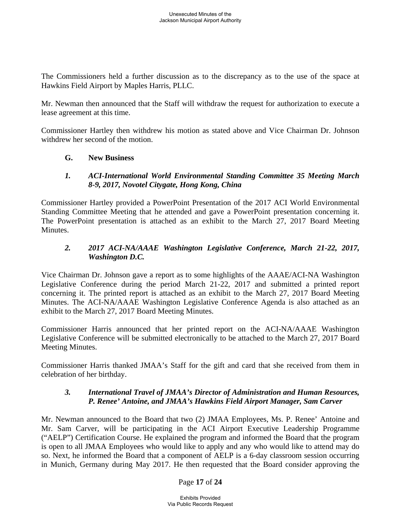The Commissioners held a further discussion as to the discrepancy as to the use of the space at Hawkins Field Airport by Maples Harris, PLLC.

Mr. Newman then announced that the Staff will withdraw the request for authorization to execute a lease agreement at this time.

Commissioner Hartley then withdrew his motion as stated above and Vice Chairman Dr. Johnson withdrew her second of the motion.

### **G. New Business**

### *1. ACI-International World Environmental Standing Committee 35 Meeting March 8-9, 2017, Novotel Citygate, Hong Kong, China*

Commissioner Hartley provided a PowerPoint Presentation of the 2017 ACI World Environmental Standing Committee Meeting that he attended and gave a PowerPoint presentation concerning it. The PowerPoint presentation is attached as an exhibit to the March 27, 2017 Board Meeting Minutes.

## *2. 2017 ACI-NA/AAAE Washington Legislative Conference, March 21-22, 2017, Washington D.C.*

Vice Chairman Dr. Johnson gave a report as to some highlights of the AAAE/ACI-NA Washington Legislative Conference during the period March 21-22, 2017 and submitted a printed report concerning it. The printed report is attached as an exhibit to the March 27, 2017 Board Meeting Minutes. The ACI-NA/AAAE Washington Legislative Conference Agenda is also attached as an exhibit to the March 27, 2017 Board Meeting Minutes.

Commissioner Harris announced that her printed report on the ACI-NA/AAAE Washington Legislative Conference will be submitted electronically to be attached to the March 27, 2017 Board Meeting Minutes.

Commissioner Harris thanked JMAA's Staff for the gift and card that she received from them in celebration of her birthday.

## *3. International Travel of JMAA's Director of Administration and Human Resources, P. Renee' Antoine, and JMAA's Hawkins Field Airport Manager, Sam Carver*

Mr. Newman announced to the Board that two (2) JMAA Employees, Ms. P. Renee' Antoine and Mr. Sam Carver, will be participating in the ACI Airport Executive Leadership Programme ("AELP") Certification Course. He explained the program and informed the Board that the program is open to all JMAA Employees who would like to apply and any who would like to attend may do so. Next, he informed the Board that a component of AELP is a 6-day classroom session occurring in Munich, Germany during May 2017. He then requested that the Board consider approving the

## Page **17** of **24**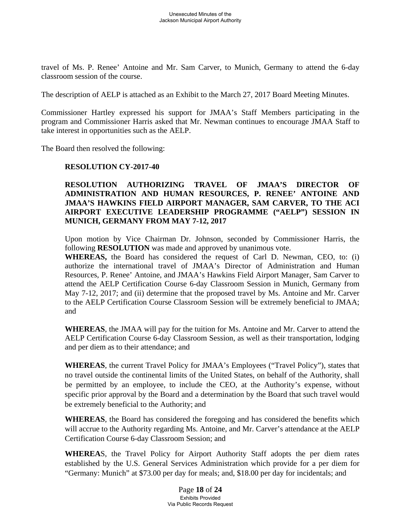travel of Ms. P. Renee' Antoine and Mr. Sam Carver, to Munich, Germany to attend the 6-day classroom session of the course.

The description of AELP is attached as an Exhibit to the March 27, 2017 Board Meeting Minutes.

Commissioner Hartley expressed his support for JMAA's Staff Members participating in the program and Commissioner Harris asked that Mr. Newman continues to encourage JMAA Staff to take interest in opportunities such as the AELP.

The Board then resolved the following:

#### **RESOLUTION CY-2017-40**

### **RESOLUTION AUTHORIZING TRAVEL OF JMAA'S DIRECTOR OF ADMINISTRATION AND HUMAN RESOURCES, P. RENEE' ANTOINE AND JMAA'S HAWKINS FIELD AIRPORT MANAGER, SAM CARVER, TO THE ACI AIRPORT EXECUTIVE LEADERSHIP PROGRAMME ("AELP") SESSION IN MUNICH, GERMANY FROM MAY 7-12, 2017**

Upon motion by Vice Chairman Dr. Johnson, seconded by Commissioner Harris, the following **RESOLUTION** was made and approved by unanimous vote.

**WHEREAS,** the Board has considered the request of Carl D. Newman, CEO, to: (i) authorize the international travel of JMAA's Director of Administration and Human Resources, P. Renee' Antoine, and JMAA's Hawkins Field Airport Manager, Sam Carver to attend the AELP Certification Course 6-day Classroom Session in Munich, Germany from May 7-12, 2017; and (ii) determine that the proposed travel by Ms. Antoine and Mr. Carver to the AELP Certification Course Classroom Session will be extremely beneficial to JMAA; and

**WHEREAS**, the JMAA will pay for the tuition for Ms. Antoine and Mr. Carver to attend the AELP Certification Course 6-day Classroom Session, as well as their transportation, lodging and per diem as to their attendance; and

**WHEREAS**, the current Travel Policy for JMAA's Employees ("Travel Policy"), states that no travel outside the continental limits of the United States, on behalf of the Authority, shall be permitted by an employee, to include the CEO, at the Authority's expense, without specific prior approval by the Board and a determination by the Board that such travel would be extremely beneficial to the Authority; and

**WHEREAS**, the Board has considered the foregoing and has considered the benefits which will accrue to the Authority regarding Ms. Antoine, and Mr. Carver's attendance at the AELP Certification Course 6-day Classroom Session; and

**WHEREA**S, the Travel Policy for Airport Authority Staff adopts the per diem rates established by the U.S. General Services Administration which provide for a per diem for "Germany: Munich" at \$73.00 per day for meals; and, \$18.00 per day for incidentals; and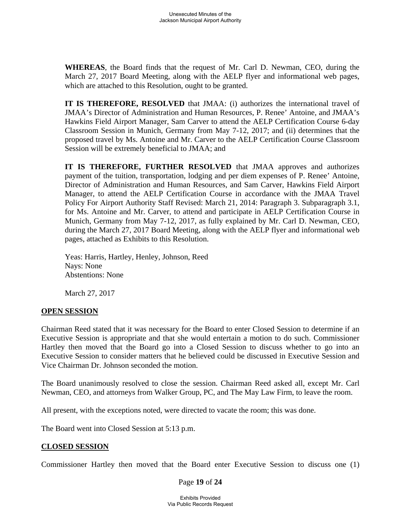**WHEREAS**, the Board finds that the request of Mr. Carl D. Newman, CEO, during the March 27, 2017 Board Meeting, along with the AELP flyer and informational web pages, which are attached to this Resolution, ought to be granted.

**IT IS THEREFORE, RESOLVED** that JMAA: (i) authorizes the international travel of JMAA's Director of Administration and Human Resources, P. Renee' Antoine, and JMAA's Hawkins Field Airport Manager, Sam Carver to attend the AELP Certification Course 6-day Classroom Session in Munich, Germany from May 7-12, 2017; and (ii) determines that the proposed travel by Ms. Antoine and Mr. Carver to the AELP Certification Course Classroom Session will be extremely beneficial to JMAA; and

**IT IS THEREFORE, FURTHER RESOLVED** that JMAA approves and authorizes payment of the tuition, transportation, lodging and per diem expenses of P. Renee' Antoine, Director of Administration and Human Resources, and Sam Carver, Hawkins Field Airport Manager, to attend the AELP Certification Course in accordance with the JMAA Travel Policy For Airport Authority Staff Revised: March 21, 2014: Paragraph 3. Subparagraph 3.1, for Ms. Antoine and Mr. Carver, to attend and participate in AELP Certification Course in Munich, Germany from May 7-12, 2017, as fully explained by Mr. Carl D. Newman, CEO, during the March 27, 2017 Board Meeting, along with the AELP flyer and informational web pages, attached as Exhibits to this Resolution.

Yeas: Harris, Hartley, Henley, Johnson, Reed Nays: None Abstentions: None

March 27, 2017

## **OPEN SESSION**

Chairman Reed stated that it was necessary for the Board to enter Closed Session to determine if an Executive Session is appropriate and that she would entertain a motion to do such. Commissioner Hartley then moved that the Board go into a Closed Session to discuss whether to go into an Executive Session to consider matters that he believed could be discussed in Executive Session and Vice Chairman Dr. Johnson seconded the motion.

The Board unanimously resolved to close the session. Chairman Reed asked all, except Mr. Carl Newman, CEO, and attorneys from Walker Group, PC, and The May Law Firm, to leave the room.

All present, with the exceptions noted, were directed to vacate the room; this was done.

The Board went into Closed Session at 5:13 p.m.

## **CLOSED SESSION**

Commissioner Hartley then moved that the Board enter Executive Session to discuss one (1)

#### Page **19** of **24**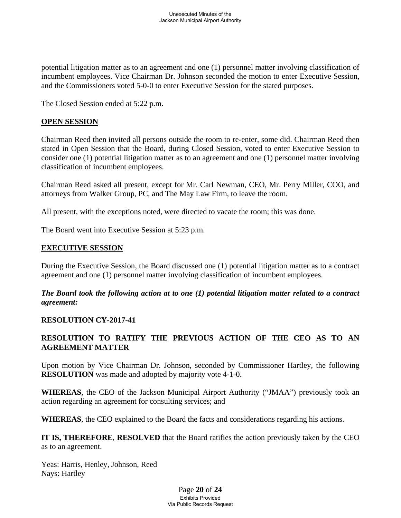potential litigation matter as to an agreement and one (1) personnel matter involving classification of incumbent employees. Vice Chairman Dr. Johnson seconded the motion to enter Executive Session, and the Commissioners voted 5-0-0 to enter Executive Session for the stated purposes.

The Closed Session ended at 5:22 p.m.

### **OPEN SESSION**

Chairman Reed then invited all persons outside the room to re-enter, some did. Chairman Reed then stated in Open Session that the Board, during Closed Session, voted to enter Executive Session to consider one (1) potential litigation matter as to an agreement and one (1) personnel matter involving classification of incumbent employees.

Chairman Reed asked all present, except for Mr. Carl Newman, CEO, Mr. Perry Miller, COO, and attorneys from Walker Group, PC, and The May Law Firm, to leave the room.

All present, with the exceptions noted, were directed to vacate the room; this was done.

The Board went into Executive Session at 5:23 p.m.

## **EXECUTIVE SESSION**

During the Executive Session, the Board discussed one (1) potential litigation matter as to a contract agreement and one (1) personnel matter involving classification of incumbent employees.

*The Board took the following action at to one (1) potential litigation matter related to a contract agreement:* 

#### **RESOLUTION CY-2017-41**

# **RESOLUTION TO RATIFY THE PREVIOUS ACTION OF THE CEO AS TO AN AGREEMENT MATTER**

Upon motion by Vice Chairman Dr. Johnson, seconded by Commissioner Hartley, the following **RESOLUTION** was made and adopted by majority vote 4-1-0.

**WHEREAS**, the CEO of the Jackson Municipal Airport Authority ("JMAA") previously took an action regarding an agreement for consulting services; and

**WHEREAS**, the CEO explained to the Board the facts and considerations regarding his actions.

**IT IS, THEREFORE**, **RESOLVED** that the Board ratifies the action previously taken by the CEO as to an agreement.

Yeas: Harris, Henley, Johnson, Reed Nays: Hartley

> Page **20** of **24** Exhibits Provided Via Public Records Request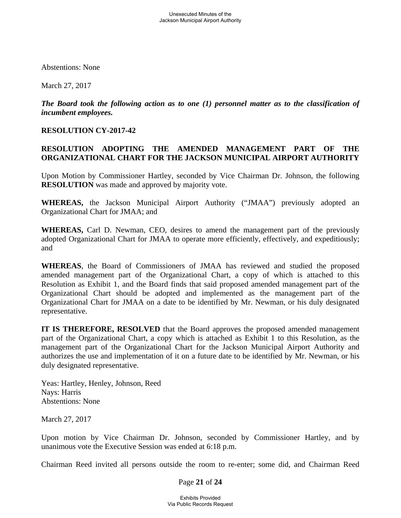Abstentions: None

March 27, 2017

*The Board took the following action as to one (1) personnel matter as to the classification of incumbent employees.* 

## **RESOLUTION CY-2017-42**

# **RESOLUTION ADOPTING THE AMENDED MANAGEMENT PART OF THE ORGANIZATIONAL CHART FOR THE JACKSON MUNICIPAL AIRPORT AUTHORITY**

Upon Motion by Commissioner Hartley, seconded by Vice Chairman Dr. Johnson, the following **RESOLUTION** was made and approved by majority vote.

**WHEREAS,** the Jackson Municipal Airport Authority ("JMAA") previously adopted an Organizational Chart for JMAA; and

**WHEREAS,** Carl D. Newman, CEO, desires to amend the management part of the previously adopted Organizational Chart for JMAA to operate more efficiently, effectively, and expeditiously; and

**WHEREAS**, the Board of Commissioners of JMAA has reviewed and studied the proposed amended management part of the Organizational Chart, a copy of which is attached to this Resolution as Exhibit 1, and the Board finds that said proposed amended management part of the Organizational Chart should be adopted and implemented as the management part of the Organizational Chart for JMAA on a date to be identified by Mr. Newman, or his duly designated representative.

**IT IS THEREFORE, RESOLVED** that the Board approves the proposed amended management part of the Organizational Chart, a copy which is attached as Exhibit 1 to this Resolution, as the management part of the Organizational Chart for the Jackson Municipal Airport Authority and authorizes the use and implementation of it on a future date to be identified by Mr. Newman, or his duly designated representative.

Yeas: Hartley, Henley, Johnson, Reed Nays: Harris Abstentions: None

March 27, 2017

Upon motion by Vice Chairman Dr. Johnson, seconded by Commissioner Hartley, and by unanimous vote the Executive Session was ended at 6:18 p.m.

Chairman Reed invited all persons outside the room to re-enter; some did, and Chairman Reed

#### Page **21** of **24**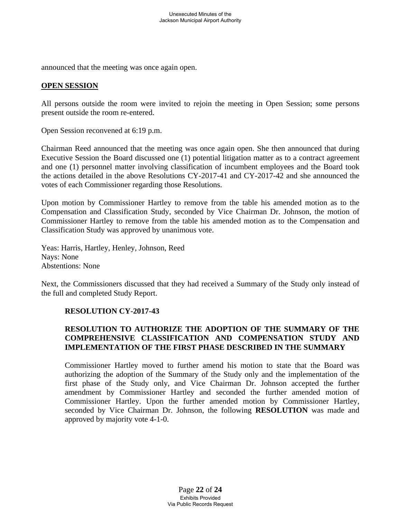announced that the meeting was once again open.

#### **OPEN SESSION**

All persons outside the room were invited to rejoin the meeting in Open Session; some persons present outside the room re-entered.

Open Session reconvened at 6:19 p.m.

Chairman Reed announced that the meeting was once again open. She then announced that during Executive Session the Board discussed one (1) potential litigation matter as to a contract agreement and one (1) personnel matter involving classification of incumbent employees and the Board took the actions detailed in the above Resolutions CY-2017-41 and CY-2017-42 and she announced the votes of each Commissioner regarding those Resolutions.

Upon motion by Commissioner Hartley to remove from the table his amended motion as to the Compensation and Classification Study, seconded by Vice Chairman Dr. Johnson, the motion of Commissioner Hartley to remove from the table his amended motion as to the Compensation and Classification Study was approved by unanimous vote.

Yeas: Harris, Hartley, Henley, Johnson, Reed Nays: None Abstentions: None

Next, the Commissioners discussed that they had received a Summary of the Study only instead of the full and completed Study Report.

#### **RESOLUTION CY-2017-43**

## **RESOLUTION TO AUTHORIZE THE ADOPTION OF THE SUMMARY OF THE COMPREHENSIVE CLASSIFICATION AND COMPENSATION STUDY AND IMPLEMENTATION OF THE FIRST PHASE DESCRIBED IN THE SUMMARY**

Commissioner Hartley moved to further amend his motion to state that the Board was authorizing the adoption of the Summary of the Study only and the implementation of the first phase of the Study only, and Vice Chairman Dr. Johnson accepted the further amendment by Commissioner Hartley and seconded the further amended motion of Commissioner Hartley. Upon the further amended motion by Commissioner Hartley, seconded by Vice Chairman Dr. Johnson, the following **RESOLUTION** was made and approved by majority vote 4-1-0.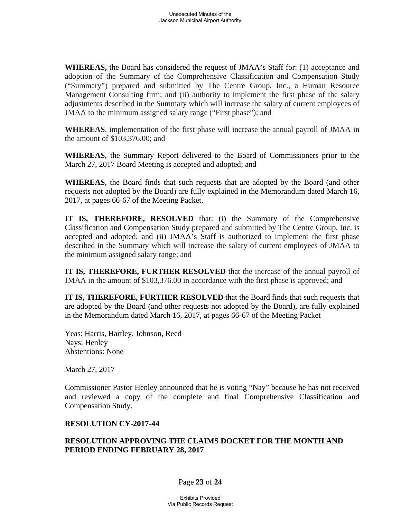**WHEREAS,** the Board has considered the request of JMAA's Staff for: (1) acceptance and adoption of the Summary of the Comprehensive Classification and Compensation Study ("Summary") prepared and submitted by The Centre Group, Inc., a Human Resource Management Consulting firm; and (ii) authority to implement the first phase of the salary adjustments described in the Summary which will increase the salary of current employees of JMAA to the minimum assigned salary range ("First phase"); and

**WHEREAS**, implementation of the first phase will increase the annual payroll of JMAA in the amount of \$103,376.00; and

**WHEREAS**, the Summary Report delivered to the Board of Commissioners prior to the March 27, 2017 Board Meeting is accepted and adopted; and

**WHEREAS**, the Board finds that such requests that are adopted by the Board (and other requests not adopted by the Board) are fully explained in the Memorandum dated March 16, 2017, at pages 66-67 of the Meeting Packet.

**IT IS, THEREFORE, RESOLVED** that: (i) the Summary of the Comprehensive Classification and Compensation Study prepared and submitted by The Centre Group, Inc. is accepted and adopted; and (ii) JMAA's Staff is authorized to implement the first phase described in the Summary which will increase the salary of current employees of JMAA to the minimum assigned salary range; and

**IT IS, THEREFORE, FURTHER RESOLVED** that the increase of the annual payroll of JMAA in the amount of \$103,376.00 in accordance with the first phase is approved; and

**IT IS, THEREFORE, FURTHER RESOLVED** that the Board finds that such requests that are adopted by the Board (and other requests not adopted by the Board), are fully explained in the Memorandum dated March 16, 2017, at pages 66-67 of the Meeting Packet

Yeas: Harris, Hartley, Johnson, Reed Nays: Henley Abstentions: None

March 27, 2017

Commissioner Pastor Henley announced that he is voting "Nay" because he has not received and reviewed a copy of the complete and final Comprehensive Classification and Compensation Study.

#### **RESOLUTION CY-2017-44**

## **RESOLUTION APPROVING THE CLAIMS DOCKET FOR THE MONTH AND PERIOD ENDING FEBRUARY 28, 2017**

#### Page **23** of **24**